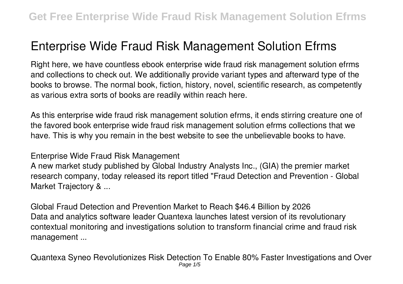## **Enterprise Wide Fraud Risk Management Solution Efrms**

Right here, we have countless ebook **enterprise wide fraud risk management solution efrms** and collections to check out. We additionally provide variant types and afterward type of the books to browse. The normal book, fiction, history, novel, scientific research, as competently as various extra sorts of books are readily within reach here.

As this enterprise wide fraud risk management solution efrms, it ends stirring creature one of the favored book enterprise wide fraud risk management solution efrms collections that we have. This is why you remain in the best website to see the unbelievable books to have.

**Enterprise Wide Fraud Risk Management**

A new market study published by Global Industry Analysts Inc., (GIA) the premier market research company, today released its report titled "Fraud Detection and Prevention - Global Market Trajectory & ...

**Global Fraud Detection and Prevention Market to Reach \$46.4 Billion by 2026** Data and analytics software leader Quantexa launches latest version of its revolutionary contextual monitoring and investigations solution to transform financial crime and fraud risk management ...

**Quantexa Syneo Revolutionizes Risk Detection To Enable 80% Faster Investigations and Over** Page  $1/5$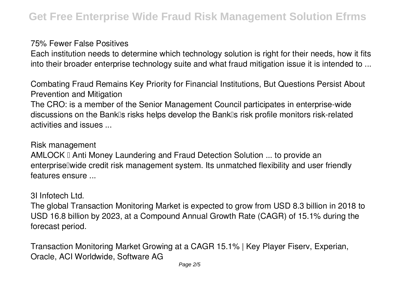## **75% Fewer False Positives**

Each institution needs to determine which technology solution is right for their needs, how it fits into their broader enterprise technology suite and what fraud mitigation issue it is intended to ...

**Combating Fraud Remains Key Priority for Financial Institutions, But Questions Persist About Prevention and Mitigation**

The CRO: is a member of the Senior Management Council participates in enterprise-wide discussions on the Bank<sup>''</sup>s risks helps develop the Bank<sup>'''</sup>s risk profile monitors risk-related activities and issues ...

**Risk management**

AMLOCK II Anti Money Laundering and Fraud Detection Solution ... to provide an enterprise wide credit risk management system. Its unmatched flexibility and user friendly features ensure ...

**3I Infotech Ltd.**

The global Transaction Monitoring Market is expected to grow from USD 8.3 billion in 2018 to USD 16.8 billion by 2023, at a Compound Annual Growth Rate (CAGR) of 15.1% during the forecast period.

**Transaction Monitoring Market Growing at a CAGR 15.1% | Key Player Fiserv, Experian, Oracle, ACI Worldwide, Software AG**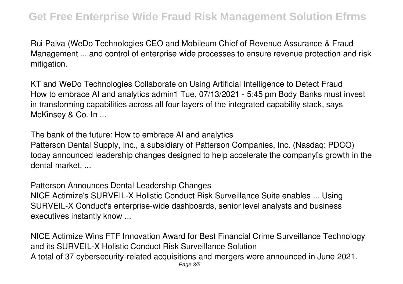Rui Paiva (WeDo Technologies CEO and Mobileum Chief of Revenue Assurance & Fraud Management ... and control of enterprise wide processes to ensure revenue protection and risk mitigation.

**KT and WeDo Technologies Collaborate on Using Artificial Intelligence to Detect Fraud** How to embrace AI and analytics admin1 Tue, 07/13/2021 - 5:45 pm Body Banks must invest in transforming capabilities across all four layers of the integrated capability stack, says McKinsey & Co. In ...

**The bank of the future: How to embrace AI and analytics** Patterson Dental Supply, Inc., a subsidiary of Patterson Companies, Inc. (Nasdaq: PDCO) today announced leadership changes designed to help accelerate the companylls growth in the dental market, ...

**Patterson Announces Dental Leadership Changes** NICE Actimize's SURVEIL-X Holistic Conduct Risk Surveillance Suite enables ... Using SURVEIL-X Conduct's enterprise-wide dashboards, senior level analysts and business executives instantly know ...

**NICE Actimize Wins FTF Innovation Award for Best Financial Crime Surveillance Technology and its SURVEIL-X Holistic Conduct Risk Surveillance Solution** A total of 37 cybersecurity-related acquisitions and mergers were announced in June 2021.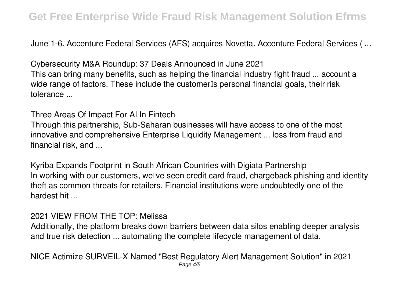June 1-6. Accenture Federal Services (AFS) acquires Novetta. Accenture Federal Services ( ...

**Cybersecurity M&A Roundup: 37 Deals Announced in June 2021** This can bring many benefits, such as helping the financial industry fight fraud ... account a wide range of factors. These include the customer<sup>®</sup>s personal financial goals, their risk tolerance ...

**Three Areas Of Impact For AI In Fintech**

Through this partnership, Sub-Saharan businesses will have access to one of the most innovative and comprehensive Enterprise Liquidity Management ... loss from fraud and financial risk, and ...

**Kyriba Expands Footprint in South African Countries with Digiata Partnership** In working with our customers, wellve seen credit card fraud, chargeback phishing and identity theft as common threats for retailers. Financial institutions were undoubtedly one of the hardest hit ...

## **2021 VIEW FROM THE TOP: Melissa**

Additionally, the platform breaks down barriers between data silos enabling deeper analysis and true risk detection ... automating the complete lifecycle management of data.

**NICE Actimize SURVEIL-X Named "Best Regulatory Alert Management Solution" in 2021** Page 4/5